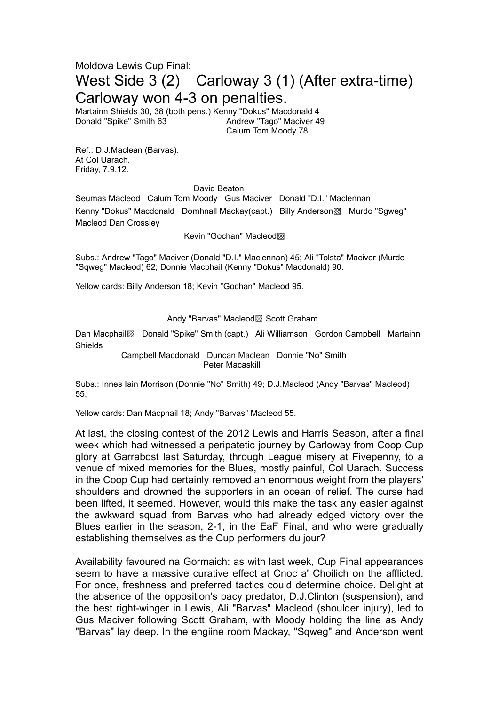## Moldova Lewis Cup Final: West Side 3 (2) Carloway 3 (1) (After extra-time) Carloway won 4-3 on penalties.

Martainn Shields 30, 38 (both pens.) Kenny "Dokus" Macdonald 4 Donald "Spike" Smith 63 Andrew "Tago" Maciver 49 Calum Tom Moody 78

Ref.: D.J.Maclean (Barvas). At Col Uarach. Friday, 7.9.12.

## David Beaton

Seumas Macleod Calum Tom Moody Gus Maciver Donald "D.I." Maclennan Kenny "Dokus" Macdonald Domhnall Mackay(capt.) Billy Anderson▩ Murdo "Sgweg" Macleod Dan Crossley

Kevin "Gochan" Macleod▩

Subs.: Andrew "Tago" Maciver (Donald "D.I." Maclennan) 45; Ali "Tolsta" Maciver (Murdo "Sqweg" Macleod) 62; Donnie Macphail (Kenny "Dokus" Macdonald) 90.

Yellow cards: Billy Anderson 18; Kevin "Gochan" Macleod 95.

## Andy "Barvas" Macleod▩ Scott Graham

Dan Macphail▩ Donald "Spike" Smith (capt.) Ali Williamson Gordon Campbell Martainn Shields

> Campbell Macdonald Duncan Maclean Donnie "No" Smith Peter Macaskill

Subs.: Innes Iain Morrison (Donnie "No" Smith) 49; D.J.Macleod (Andy "Barvas" Macleod) 55.

Yellow cards: Dan Macphail 18; Andy "Barvas" Macleod 55.

At last, the closing contest of the 2012 Lewis and Harris Season, after a final week which had witnessed a peripatetic journey by Carloway from Coop Cup glory at Garrabost last Saturday, through League misery at Fivepenny, to a venue of mixed memories for the Blues, mostly painful, Col Uarach. Success in the Coop Cup had certainly removed an enormous weight from the players' shoulders and drowned the supporters in an ocean of relief. The curse had been lifted, it seemed. However, would this make the task any easier against the awkward squad from Barvas who had already edged victory over the Blues earlier in the season, 2-1, in the EaF Final, and who were gradually establishing themselves as the Cup performers du jour?

Availability favoured na Gormaich: as with last week, Cup Final appearances seem to have a massive curative effect at Cnoc a' Choilich on the afflicted. For once, freshness and preferred tactics could determine choice. Delight at the absence of the opposition's pacy predator, D.J.Clinton (suspension), and the best right-winger in Lewis, Ali "Barvas" Macleod (shoulder injury), led to Gus Maciver following Scott Graham, with Moody holding the line as Andy "Barvas" lay deep. In the engiine room Mackay, "Sqweg" and Anderson went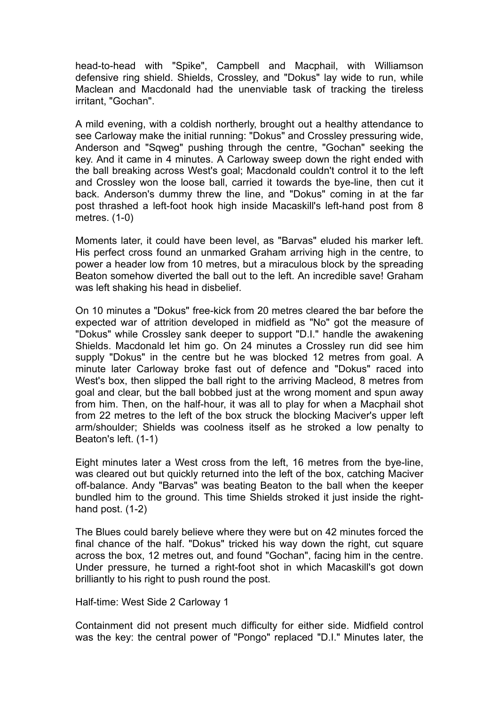head-to-head with "Spike", Campbell and Macphail, with Williamson defensive ring shield. Shields, Crossley, and "Dokus" lay wide to run, while Maclean and Macdonald had the unenviable task of tracking the tireless irritant, "Gochan".

A mild evening, with a coldish northerly, brought out a healthy attendance to see Carloway make the initial running: "Dokus" and Crossley pressuring wide, Anderson and "Sqweg" pushing through the centre, "Gochan" seeking the key. And it came in 4 minutes. A Carloway sweep down the right ended with the ball breaking across West's goal; Macdonald couldn't control it to the left and Crossley won the loose ball, carried it towards the bye-line, then cut it back. Anderson's dummy threw the line, and "Dokus" coming in at the far post thrashed a left-foot hook high inside Macaskill's left-hand post from 8 metres. (1-0)

Moments later, it could have been level, as "Barvas" eluded his marker left. His perfect cross found an unmarked Graham arriving high in the centre, to power a header low from 10 metres, but a miraculous block by the spreading Beaton somehow diverted the ball out to the left. An incredible save! Graham was left shaking his head in disbelief.

On 10 minutes a "Dokus" free-kick from 20 metres cleared the bar before the expected war of attrition developed in midfield as "No" got the measure of "Dokus" while Crossley sank deeper to support "D.I." handle the awakening Shields. Macdonald let him go. On 24 minutes a Crossley run did see him supply "Dokus" in the centre but he was blocked 12 metres from goal. A minute later Carloway broke fast out of defence and "Dokus" raced into West's box, then slipped the ball right to the arriving Macleod, 8 metres from goal and clear, but the ball bobbed just at the wrong moment and spun away from him. Then, on the half-hour, it was all to play for when a Macphail shot from 22 metres to the left of the box struck the blocking Maciver's upper left arm/shoulder; Shields was coolness itself as he stroked a low penalty to Beaton's left. (1-1)

Eight minutes later a West cross from the left, 16 metres from the bye-line, was cleared out but quickly returned into the left of the box, catching Maciver off-balance. Andy "Barvas" was beating Beaton to the ball when the keeper bundled him to the ground. This time Shields stroked it just inside the righthand post. (1-2)

The Blues could barely believe where they were but on 42 minutes forced the final chance of the half. "Dokus" tricked his way down the right, cut square across the box, 12 metres out, and found "Gochan", facing him in the centre. Under pressure, he turned a right-foot shot in which Macaskill's got down brilliantly to his right to push round the post.

Half-time: West Side 2 Carloway 1

Containment did not present much difficulty for either side. Midfield control was the key: the central power of "Pongo" replaced "D.I." Minutes later, the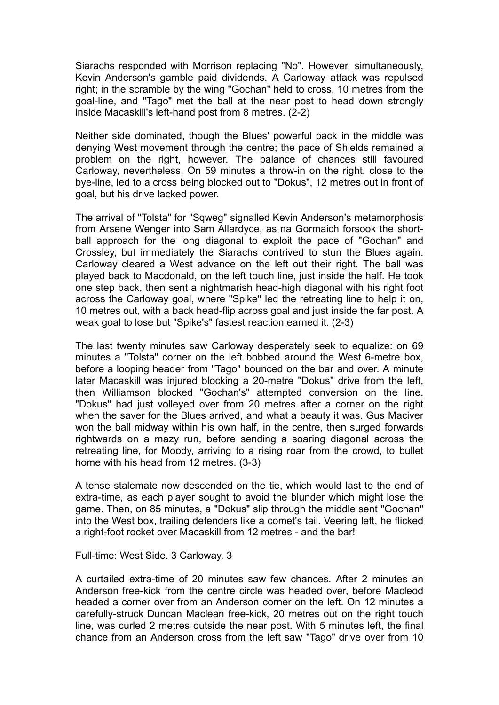Siarachs responded with Morrison replacing "No". However, simultaneously, Kevin Anderson's gamble paid dividends. A Carloway attack was repulsed right; in the scramble by the wing "Gochan" held to cross, 10 metres from the goal-line, and "Tago" met the ball at the near post to head down strongly inside Macaskill's left-hand post from 8 metres. (2-2)

Neither side dominated, though the Blues' powerful pack in the middle was denying West movement through the centre; the pace of Shields remained a problem on the right, however. The balance of chances still favoured Carloway, nevertheless. On 59 minutes a throw-in on the right, close to the bye-line, led to a cross being blocked out to "Dokus", 12 metres out in front of goal, but his drive lacked power.

The arrival of "Tolsta" for "Sqweg" signalled Kevin Anderson's metamorphosis from Arsene Wenger into Sam Allardyce, as na Gormaich forsook the shortball approach for the long diagonal to exploit the pace of "Gochan" and Crossley, but immediately the Siarachs contrived to stun the Blues again. Carloway cleared a West advance on the left out their right. The ball was played back to Macdonald, on the left touch line, just inside the half. He took one step back, then sent a nightmarish head-high diagonal with his right foot across the Carloway goal, where "Spike" led the retreating line to help it on, 10 metres out, with a back head-flip across goal and just inside the far post. A weak goal to lose but "Spike's" fastest reaction earned it. (2-3)

The last twenty minutes saw Carloway desperately seek to equalize: on 69 minutes a "Tolsta" corner on the left bobbed around the West 6-metre box, before a looping header from "Tago" bounced on the bar and over. A minute later Macaskill was injured blocking a 20-metre "Dokus" drive from the left, then Williamson blocked "Gochan's" attempted conversion on the line. "Dokus" had just volleyed over from 20 metres after a corner on the right when the saver for the Blues arrived, and what a beauty it was. Gus Maciver won the ball midway within his own half, in the centre, then surged forwards rightwards on a mazy run, before sending a soaring diagonal across the retreating line, for Moody, arriving to a rising roar from the crowd, to bullet home with his head from 12 metres. (3-3)

A tense stalemate now descended on the tie, which would last to the end of extra-time, as each player sought to avoid the blunder which might lose the game. Then, on 85 minutes, a "Dokus" slip through the middle sent "Gochan" into the West box, trailing defenders like a comet's tail. Veering left, he flicked a right-foot rocket over Macaskill from 12 metres - and the bar!

## Full-time: West Side. 3 Carloway. 3

A curtailed extra-time of 20 minutes saw few chances. After 2 minutes an Anderson free-kick from the centre circle was headed over, before Macleod headed a corner over from an Anderson corner on the left. On 12 minutes a carefully-struck Duncan Maclean free-kick, 20 metres out on the right touch line, was curled 2 metres outside the near post. With 5 minutes left, the final chance from an Anderson cross from the left saw "Tago" drive over from 10